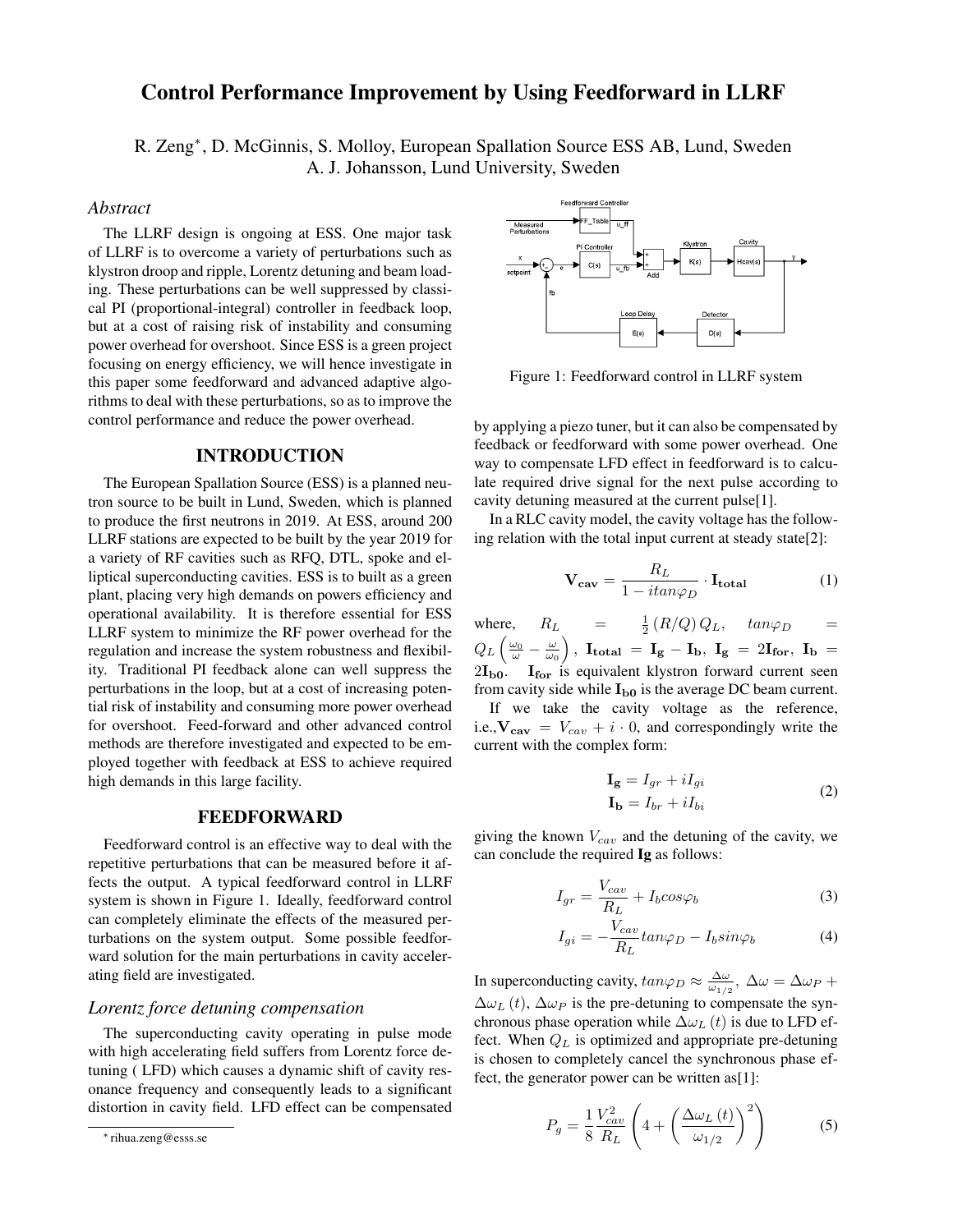# Control Performance Improvement by Using Feedforward in LLRF

R. Zeng<sup>∗</sup>, D. McGinnis, S. Molloy, European Spallation Source ESS AB, Lund, Sweden A. J. Johansson, Lund University, Sweden

## *Abstract*

The LLRF design is ongoing at ESS. One major task of LLRF is to overcome a variety of perturbations such as klystron droop and ripple, Lorentz detuning and beam loading. These perturbations can be well suppressed by classical PI (proportional-integral) controller in feedback loop, but at a cost of raising risk of instability and consuming power overhead for overshoot. Since ESS is a green project focusing on energy efficiency, we will hence investigate in this paper some feedforward and advanced adaptive algorithms to deal with these perturbations, so as to improve the control performance and reduce the power overhead.

#### INTRODUCTION

The European Spallation Source (ESS) is a planned neutron source to be built in Lund, Sweden, which is planned to produce the first neutrons in 2019. At ESS, around 200 LLRF stations are expected to be built by the year 2019 for a variety of RF cavities such as RFQ, DTL, spoke and elliptical superconducting cavities. ESS is to built as a green plant, placing very high demands on powers efficiency and operational availability. It is therefore essential for ESS LLRF system to minimize the RF power overhead for the regulation and increase the system robustness and flexibility. Traditional PI feedback alone can well suppress the perturbations in the loop, but at a cost of increasing potential risk of instability and consuming more power overhead for overshoot. Feed-forward and other advanced control methods are therefore investigated and expected to be employed together with feedback at ESS to achieve required high demands in this large facility.

#### FEEDFORWARD

Feedforward control is an effective way to deal with the repetitive perturbations that can be measured before it affects the output. A typical feedforward control in LLRF system is shown in Figure 1. Ideally, feedforward control can completely eliminate the effects of the measured perturbations on the system output. Some possible feedforward solution for the main perturbations in cavity accelerating field are investigated.

# *Lorentz force detuning compensation*

The superconducting cavity operating in pulse mode with high accelerating field suffers from Lorentz force detuning ( LFD) which causes a dynamic shift of cavity resonance frequency and consequently leads to a significant distortion in cavity field. LFD effect can be compensated



Figure 1: Feedforward control in LLRF system

by applying a piezo tuner, but it can also be compensated by feedback or feedforward with some power overhead. One way to compensate LFD effect in feedforward is to calculate required drive signal for the next pulse according to cavity detuning measured at the current pulse[1].

In a RLC cavity model, the cavity voltage has the following relation with the total input current at steady state[2]:

$$
\mathbf{V}_{\mathbf{cav}} = \frac{R_L}{1 - itan\varphi_D} \cdot \mathbf{I}_{\mathbf{total}} \tag{1}
$$

where,  $R_L$  $\frac{1}{2} (R/Q) Q_L$ ,  $tan\varphi_D$  =  $Q_L\left(\frac{\omega_0}{\omega}-\frac{\omega}{\omega_0}\right)$ ,  ${\bf I_{total}}\,=\,{\bf I_g} \,-\,{\bf I_b},\,\,{\bf I_g}\,=\,2{\bf I_{for}},\,\,{\bf I_b}\,=\,$  $2I_{\text{bo}}$ .  $I_{\text{for}}$  is equivalent klystron forward current seen from cavity side while  $I_{b0}$  is the average DC beam current.

If we take the cavity voltage as the reference, i.e.,  $V_{cav} = V_{cav} + i \cdot 0$ , and correspondingly write the current with the complex form:

$$
\mathbf{I_g} = I_{gr} + iI_{gi}
$$
  
\n
$$
\mathbf{I_b} = I_{br} + iI_{bi}
$$
\n(2)

giving the known  $V_{cav}$  and the detuning of the cavity, we can conclude the required Ig as follows:

$$
I_{gr} = \frac{V_{cav}}{R_L} + I_b cos\varphi_b
$$
 (3)

$$
I_{gi} = -\frac{V_{cav}}{R_L} \tan \varphi_D - I_b \sin \varphi_b \tag{4}
$$

In superconducting cavity,  $tan\varphi_D \approx \frac{\Delta\omega}{\omega_{1/2}}$ ,  $\Delta\omega = \Delta\omega_P + \frac{\Delta\omega}{\omega_P}$  $\Delta\omega_L(t)$ ,  $\Delta\omega_P$  is the pre-detuning to compensate the synchronous phase operation while  $\Delta \omega_L(t)$  is due to LFD effect. When  $Q_L$  is optimized and appropriate pre-detuning is chosen to completely cancel the synchronous phase effect, the generator power can be written as[1]:

$$
P_g = \frac{1}{8} \frac{V_{cav}^2}{R_L} \left( 4 + \left( \frac{\Delta \omega_L \left( t \right)}{\omega_{1/2}} \right)^2 \right) \tag{5}
$$

<sup>∗</sup> rihua.zeng@esss.se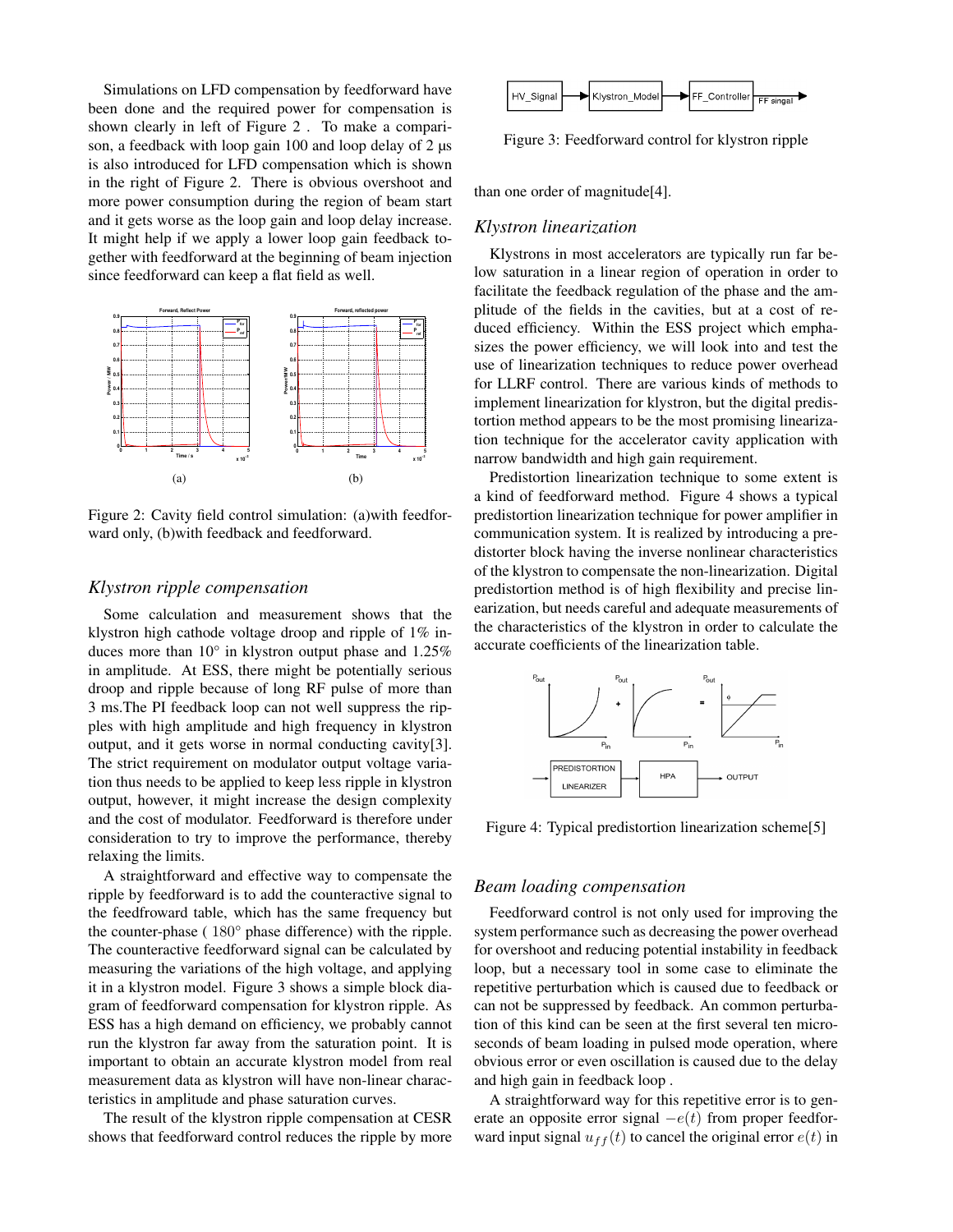Simulations on LFD compensation by feedforward have been done and the required power for compensation is shown clearly in left of Figure 2 . To make a comparison, a feedback with loop gain 100 and loop delay of 2  $\mu$ s is also introduced for LFD compensation which is shown in the right of Figure 2. There is obvious overshoot and more power consumption during the region of beam start and it gets worse as the loop gain and loop delay increase. It might help if we apply a lower loop gain feedback together with feedforward at the beginning of beam injection since feedforward can keep a flat field as well.



Figure 2: Cavity field control simulation: (a)with feedforward only, (b)with feedback and feedforward.

## *Klystron ripple compensation*

Some calculation and measurement shows that the klystron high cathode voltage droop and ripple of 1% induces more than 10° in klystron output phase and 1.25% in amplitude. At ESS, there might be potentially serious droop and ripple because of long RF pulse of more than 3 ms.The PI feedback loop can not well suppress the ripples with high amplitude and high frequency in klystron output, and it gets worse in normal conducting cavity[3]. The strict requirement on modulator output voltage variation thus needs to be applied to keep less ripple in klystron output, however, it might increase the design complexity and the cost of modulator. Feedforward is therefore under consideration to try to improve the performance, thereby relaxing the limits.

A straightforward and effective way to compensate the ripple by feedforward is to add the counteractive signal to the feedfroward table, which has the same frequency but the counter-phase ( 180° phase difference) with the ripple. The counteractive feedforward signal can be calculated by measuring the variations of the high voltage, and applying it in a klystron model. Figure 3 shows a simple block diagram of feedforward compensation for klystron ripple. As ESS has a high demand on efficiency, we probably cannot run the klystron far away from the saturation point. It is important to obtain an accurate klystron model from real measurement data as klystron will have non-linear characteristics in amplitude and phase saturation curves.

The result of the klystron ripple compensation at CESR shows that feedforward control reduces the ripple by more



Figure 3: Feedforward control for klystron ripple

than one order of magnitude[4].

#### *Klystron linearization*

Klystrons in most accelerators are typically run far below saturation in a linear region of operation in order to facilitate the feedback regulation of the phase and the amplitude of the fields in the cavities, but at a cost of reduced efficiency. Within the ESS project which emphasizes the power efficiency, we will look into and test the use of linearization techniques to reduce power overhead for LLRF control. There are various kinds of methods to implement linearization for klystron, but the digital predistortion method appears to be the most promising linearization technique for the accelerator cavity application with narrow bandwidth and high gain requirement.

Predistortion linearization technique to some extent is a kind of feedforward method. Figure 4 shows a typical predistortion linearization technique for power amplifier in communication system. It is realized by introducing a predistorter block having the inverse nonlinear characteristics of the klystron to compensate the non-linearization. Digital predistortion method is of high flexibility and precise linearization, but needs careful and adequate measurements of the characteristics of the klystron in order to calculate the accurate coefficients of the linearization table.



Figure 4: Typical predistortion linearization scheme[5]

#### *Beam loading compensation*

Feedforward control is not only used for improving the system performance such as decreasing the power overhead for overshoot and reducing potential instability in feedback loop, but a necessary tool in some case to eliminate the repetitive perturbation which is caused due to feedback or can not be suppressed by feedback. An common perturbation of this kind can be seen at the first several ten microseconds of beam loading in pulsed mode operation, where obvious error or even oscillation is caused due to the delay and high gain in feedback loop .

A straightforward way for this repetitive error is to generate an opposite error signal  $-e(t)$  from proper feedforward input signal  $u_{ff}(t)$  to cancel the original error  $e(t)$  in